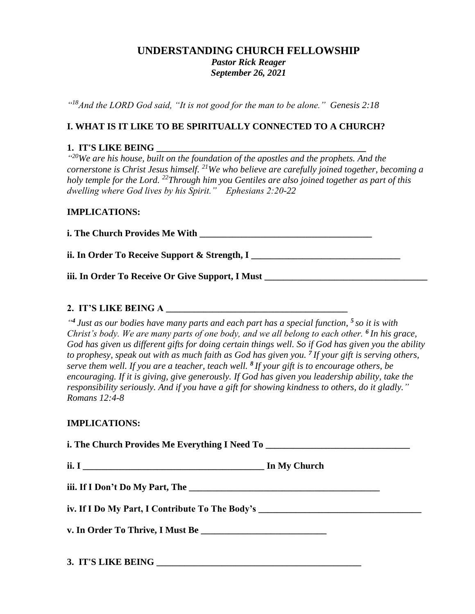# **UNDERSTANDING CHURCH FELLOWSHIP** *Pastor Rick Reager September 26, 2021*

*" <sup>18</sup>And the LORD God said, "It is not good for the man to be alone." Genesis 2:18*

### **I. WHAT IS IT LIKE TO BE SPIRITUALLY CONNECTED TO A CHURCH?**

#### **1. IT'S LIKE BEING \_\_\_\_\_\_\_\_\_\_\_\_\_\_\_\_\_\_\_\_\_\_\_\_\_\_\_\_\_\_\_\_\_\_\_\_\_\_\_\_\_\_\_\_\_**

<sup>420</sup>We are his house, built on the foundation of the apostles and the prophets. And the *cornerstone is Christ Jesus himself. <sup>21</sup>We who believe are carefully joined together, becoming a holy temple for the Lord. <sup>22</sup>Through him you Gentiles are also joined together as part of this dwelling where God lives by his Spirit." Ephesians 2:20-22*

#### **IMPLICATIONS:**

**i.** The Church Provides Me With

**ii. In Order To Receive Support & Strength, I \_\_\_\_\_\_\_\_\_\_\_\_\_\_\_\_\_\_\_\_\_\_\_\_\_\_\_\_\_\_\_\_\_** 

**iii. In Order To Receive Or Give Support, I Must** 

#### **2. IT'S LIKE BEING A \_\_\_\_\_\_\_\_\_\_\_\_\_\_\_\_\_\_\_\_\_\_\_\_\_\_\_\_\_\_\_\_\_\_\_\_\_\_\_**

*" <sup>4</sup> Just as our bodies have many parts and each part has a special function, <sup>5</sup> so it is with Christ's body. We are many parts of one body, and we all belong to each other. <sup>6</sup> In his grace, God has given us different gifts for doing certain things well. So if God has given you the ability to prophesy, speak out with as much faith as God has given you. <sup>7</sup> If your gift is serving others, serve them well. If you are a teacher, teach well. <sup>8</sup> If your gift is to encourage others, be encouraging. If it is giving, give generously. If God has given you leadership ability, take the responsibility seriously. And if you have a gift for showing kindness to others, do it gladly." Romans 12:4-8*

### **IMPLICATIONS:**

| i. The Church Provides Me Everything I Need To _________________________________ |  |
|----------------------------------------------------------------------------------|--|
|                                                                                  |  |
|                                                                                  |  |
| iv. If I Do My Part, I Contribute To The Body's ________________________________ |  |
|                                                                                  |  |
|                                                                                  |  |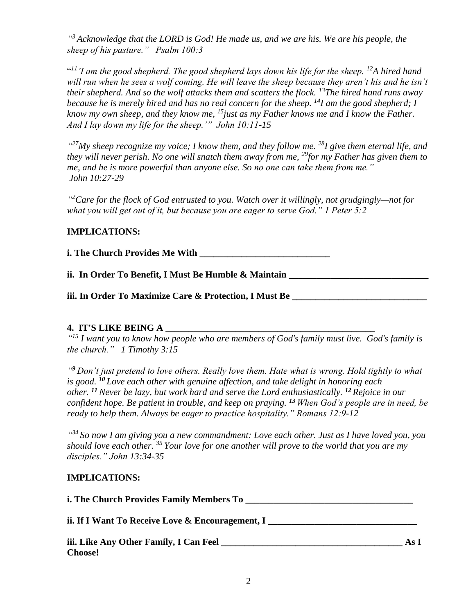*" <sup>3</sup> Acknowledge that the LORD is God! He made us, and we are his. We are his people, the sheep of his pasture." Psalm 100:3*

<sup>411</sup>'I am the good shepherd. The good shepherd lays down his life for the sheep. <sup>12</sup>A hired hand *will run when he sees a wolf coming. He will leave the sheep because they aren't his and he isn't their shepherd. And so the wolf attacks them and scatters the flock. <sup>13</sup>The hired hand runs away because he is merely hired and has no real concern for the sheep. <sup>14</sup>I am the good shepherd; I know my own sheep, and they know me, <sup>15</sup>just as my Father knows me and I know the Father. And I lay down my life for the sheep.'" John 10:11-15*

*" <sup>27</sup>My sheep recognize my voice; I know them, and they follow me. <sup>28</sup> I give them eternal life, and they will never perish. No one will snatch them away from me, <sup>29</sup>for my Father has given them to me, and he is more powerful than anyone else. So no one can take them from me." John 10:27-29*

*" <sup>2</sup>Care for the flock of God entrusted to you. Watch over it willingly, not grudgingly—not for what you will get out of it, but because you are eager to serve God." 1 Peter 5:2* 

## **IMPLICATIONS:**

**i. The Church Provides Me With \_\_\_\_\_\_\_\_\_\_\_\_\_\_\_\_\_\_\_\_\_\_\_\_\_\_\_\_**

**ii. In Order To Benefit, I Must Be Humble & Maintain \_\_\_\_\_\_\_\_\_\_\_\_\_\_\_\_\_\_\_\_\_\_\_\_\_\_\_\_\_\_**

iii. In Order To Maximize Care & Protection, I Must Be

## **4. IT'S LIKE BEING A \_\_\_\_\_\_\_\_\_\_\_\_\_\_\_\_\_\_\_\_\_\_\_\_\_\_\_\_\_\_\_\_\_\_\_\_\_\_\_\_\_\_\_\_\_**

*" <sup>15</sup> I want you to know how people who are members of God's family must live. God's family is the church." 1 Timothy 3:15*

*" <sup>9</sup> Don't just pretend to love others. Really love them. Hate what is wrong. Hold tightly to what is good. <sup>10</sup> Love each other with genuine affection, and take delight in honoring each other. <sup>11</sup>Never be lazy, but work hard and serve the Lord enthusiastically. <sup>12</sup> Rejoice in our confident hope. Be patient in trouble, and keep on praying. <sup>13</sup> When God's people are in need, be ready to help them. Always be eager to practice hospitality." Romans 12:9-12*

*" <sup>34</sup> So now I am giving you a new commandment: Love each other. Just as I have loved you, you should love each other. <sup>35</sup> Your love for one another will prove to the world that you are my disciples." John 13:34-35*

### **IMPLICATIONS:**

**i. The Church Provides Family Members To \_\_\_\_\_\_\_\_\_\_\_\_\_\_\_\_\_\_\_\_\_\_\_\_\_\_\_\_\_\_\_\_\_\_\_\_ ii. If I Want To Receive Love & Encouragement, I \_\_\_\_\_\_\_\_\_\_\_\_\_\_\_\_\_\_\_\_\_\_\_\_\_\_\_\_\_\_ iii. Like Any Other Family, I Can Feel \_\_\_\_\_\_\_\_\_\_\_\_\_\_\_\_\_\_\_\_\_\_\_\_\_\_\_\_\_\_\_\_\_\_\_\_\_\_\_ As I Choose!**